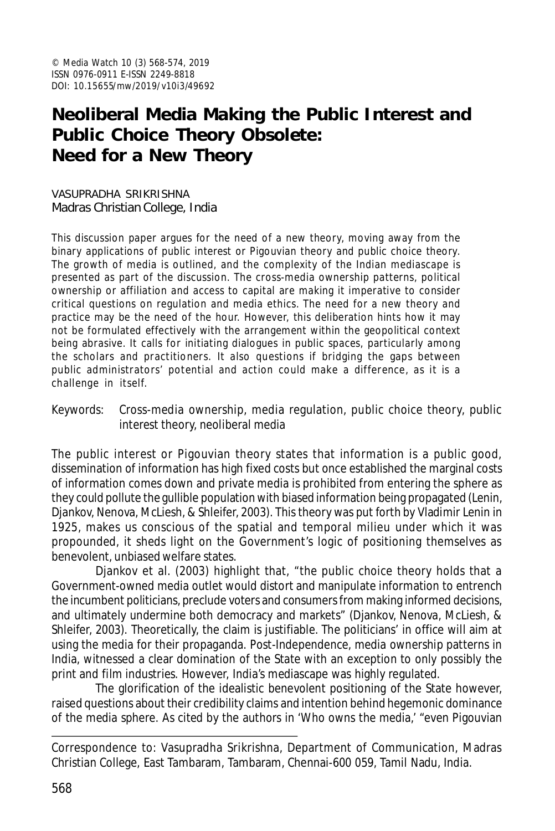# **Neoliberal Media Making the Public Interest and Public Choice Theory Obsolete: Need for a New Theory**

VASUPRADHA SRIKRISHNA Madras Christian College, India

This discussion paper argues for the need of a new theory, moving away from the binary applications of public interest or Pigouvian theory and public choice theory. The growth of media is outlined, and the complexity of the Indian mediascape is presented as part of the discussion. The cross-media ownership patterns, political ownership or affiliation and access to capital are making it imperative to consider critical questions on regulation and media ethics. The need for a new theory and practice may be the need of the hour. However, this deliberation hints how it may not be formulated effectively with the arrangement within the geopolitical context being abrasive. It calls for initiating dialogues in public spaces, particularly among the scholars and practitioners. It also questions if bridging the gaps between public administrators' potential and action could make a difference, as it is a challenge in itself.

Keywords: Cross-media ownership, media regulation, public choice theory, public interest theory, neoliberal media

The public interest or Pigouvian theory states that information is a public good, dissemination of information has high fixed costs but once established the marginal costs of information comes down and private media is prohibited from entering the sphere as they could pollute the gullible population with biased information being propagated (Lenin, Djankov, Nenova, McLiesh, & Shleifer, 2003). This theory was put forth by Vladimir Lenin in 1925, makes us conscious of the spatial and temporal milieu under which it was propounded, it sheds light on the Government's logic of positioning themselves as benevolent, unbiased welfare states.

Djankov et al. (2003) highlight that, "the public choice theory holds that a Government-owned media outlet would distort and manipulate information to entrench the incumbent politicians, preclude voters and consumers from making informed decisions, and ultimately undermine both democracy and markets" (Djankov, Nenova, McLiesh, & Shleifer, 2003). Theoretically, the claim is justifiable. The politicians' in office will aim at using the media for their propaganda. Post-Independence, media ownership patterns in India, witnessed a clear domination of the State with an exception to only possibly the print and film industries. However, India's mediascape was highly regulated.

The glorification of the idealistic benevolent positioning of the State however, raised questions about their credibility claims and intention behind hegemonic dominance of the media sphere. As cited by the authors in 'Who owns the media,' "even Pigouvian

Correspondence to: Vasupradha Srikrishna, Department of Communication, Madras Christian College, East Tambaram, Tambaram, Chennai-600 059, Tamil Nadu, India.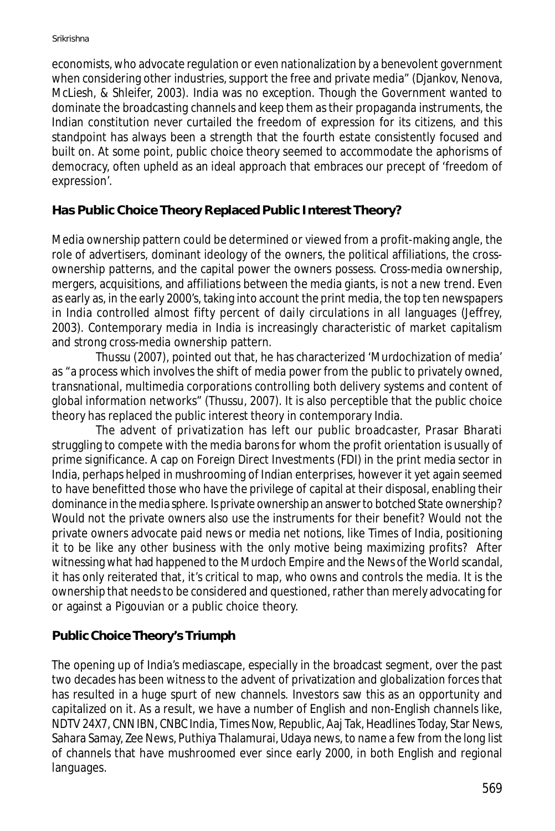economists, who advocate regulation or even nationalization by a benevolent government when considering other industries, support the free and private media" (Djankov, Nenova, McLiesh, & Shleifer, 2003). India was no exception. Though the Government wanted to dominate the broadcasting channels and keep them as their propaganda instruments, the Indian constitution never curtailed the freedom of expression for its citizens, and this standpoint has always been a strength that the fourth estate consistently focused and built on. At some point, public choice theory seemed to accommodate the aphorisms of democracy, often upheld as an ideal approach that embraces our precept of 'freedom of expression'.

# **Has Public Choice Theory Replaced Public Interest Theory?**

Media ownership pattern could be determined or viewed from a profit-making angle, the role of advertisers, dominant ideology of the owners, the political affiliations, the crossownership patterns, and the capital power the owners possess. Cross-media ownership, mergers, acquisitions, and affiliations between the media giants, is not a new trend. Even as early as, in the early 2000's, taking into account the print media, the top ten newspapers in India controlled almost fifty percent of daily circulations in all languages (Jeffrey, 2003). Contemporary media in India is increasingly characteristic of market capitalism and strong cross-media ownership pattern.

Thussu (2007), pointed out that, he has characterized 'Murdochization of media' as "a process which involves the shift of media power from the public to privately owned, transnational, multimedia corporations controlling both delivery systems and content of global information networks" (Thussu, 2007). It is also perceptible that the public choice theory has replaced the public interest theory in contemporary India.

The advent of privatization has left our public broadcaster, Prasar Bharati struggling to compete with the media barons for whom the profit orientation is usually of prime significance. A cap on Foreign Direct Investments (FDI) in the print media sector in India, perhaps helped in mushrooming of Indian enterprises, however it yet again seemed to have benefitted those who have the privilege of capital at their disposal, enabling their dominance in the media sphere. Is private ownership an answer to botched State ownership? Would not the private owners also use the instruments for their benefit? Would not the private owners advocate paid news or media net notions, like Times of India, positioning it to be like any other business with the only motive being maximizing profits? After witnessing what had happened to the Murdoch Empire and the News of the World scandal, it has only reiterated that, it's critical to map, who owns and controls the media. It is the ownership that needs to be considered and questioned, rather than merely advocating for or against a Pigouvian or a public choice theory.

# **Public Choice Theory's Triumph**

The opening up of India's mediascape, especially in the broadcast segment, over the past two decades has been witness to the advent of privatization and globalization forces that has resulted in a huge spurt of new channels. Investors saw this as an opportunity and capitalized on it. As a result, we have a number of English and non-English channels like, NDTV 24X7, CNN IBN, CNBC India, Times Now, Republic, Aaj Tak, Headlines Today, Star News, Sahara Samay, Zee News, Puthiya Thalamurai, Udaya news, to name a few from the long list of channels that have mushroomed ever since early 2000, in both English and regional languages.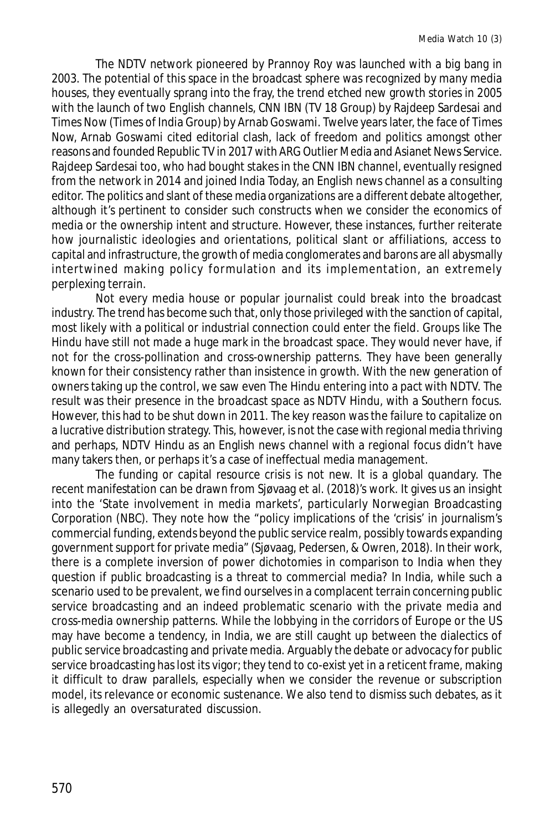The NDTV network pioneered by Prannoy Roy was launched with a big bang in 2003. The potential of this space in the broadcast sphere was recognized by many media houses, they eventually sprang into the fray, the trend etched new growth stories in 2005 with the launch of two English channels, CNN IBN (TV 18 Group) by Rajdeep Sardesai and Times Now (Times of India Group) by Arnab Goswami. Twelve years later, the face of Times Now, Arnab Goswami cited editorial clash, lack of freedom and politics amongst other reasons and founded Republic TV in 2017 with ARG Outlier Media and Asianet News Service. Rajdeep Sardesai too, who had bought stakes in the CNN IBN channel, eventually resigned from the network in 2014 and joined India Today, an English news channel as a consulting editor. The politics and slant of these media organizations are a different debate altogether, although it's pertinent to consider such constructs when we consider the economics of media or the ownership intent and structure. However, these instances, further reiterate how journalistic ideologies and orientations, political slant or affiliations, access to capital and infrastructure, the growth of media conglomerates and barons are all abysmally intertwined making policy formulation and its implementation, an extremely perplexing terrain.

Not every media house or popular journalist could break into the broadcast industry. The trend has become such that, only those privileged with the sanction of capital, most likely with a political or industrial connection could enter the field. Groups like The Hindu have still not made a huge mark in the broadcast space. They would never have, if not for the cross-pollination and cross-ownership patterns. They have been generally known for their consistency rather than insistence in growth. With the new generation of owners taking up the control, we saw even The Hindu entering into a pact with NDTV. The result was their presence in the broadcast space as NDTV Hindu, with a Southern focus. However, this had to be shut down in 2011. The key reason was the failure to capitalize on a lucrative distribution strategy. This, however, is not the case with regional media thriving and perhaps, NDTV Hindu as an English news channel with a regional focus didn't have many takers then, or perhaps it's a case of ineffectual media management.

The funding or capital resource crisis is not new. It is a global quandary. The recent manifestation can be drawn from Sjøvaag et al. (2018)'s work. It gives us an insight into the 'State involvement in media markets', particularly Norwegian Broadcasting Corporation (NBC). They note how the "policy implications of the 'crisis' in journalism's commercial funding, extends beyond the public service realm, possibly towards expanding government support for private media" (Sjøvaag, Pedersen, & Owren, 2018). In their work, there is a complete inversion of power dichotomies in comparison to India when they question if public broadcasting is a threat to commercial media? In India, while such a scenario used to be prevalent, we find ourselves in a complacent terrain concerning public service broadcasting and an indeed problematic scenario with the private media and cross-media ownership patterns. While the lobbying in the corridors of Europe or the US may have become a tendency, in India, we are still caught up between the dialectics of public service broadcasting and private media. Arguably the debate or advocacy for public service broadcasting has lost its vigor; they tend to co-exist yet in a reticent frame, making it difficult to draw parallels, especially when we consider the revenue or subscription model, its relevance or economic sustenance. We also tend to dismiss such debates, as it is allegedly an oversaturated discussion.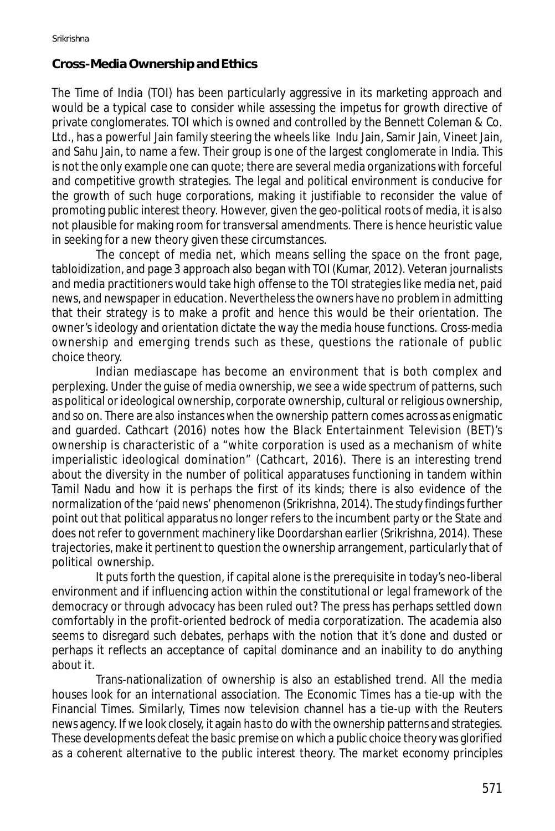## **Cross-Media Ownership and Ethics**

The *Time of India* (TOI) has been particularly aggressive in its marketing approach and would be a typical case to consider while assessing the impetus for growth directive of private conglomerates. TOI which is owned and controlled by the Bennett Coleman & Co. Ltd., has a powerful Jain family steering the wheels like Indu Jain, Samir Jain, Vineet Jain, and Sahu Jain, to name a few. Their group is one of the largest conglomerate in India. This is not the only example one can quote; there are several media organizations with forceful and competitive growth strategies. The legal and political environment is conducive for the growth of such huge corporations, making it justifiable to reconsider the value of promoting public interest theory. However, given the geo-political roots of media, it is also not plausible for making room for transversal amendments. There is hence heuristic value in seeking for a new theory given these circumstances.

The concept of media net, which means selling the space on the front page, tabloidization, and page 3 approach also began with TOI (Kumar, 2012). Veteran journalists and media practitioners would take high offense to the TOI strategies like media net, paid news, and newspaper in education. Nevertheless the owners have no problem in admitting that their strategy is to make a profit and hence this would be their orientation. The owner's ideology and orientation dictate the way the media house functions. Cross-media ownership and emerging trends such as these, questions the rationale of public choice theory.

Indian mediascape has become an environment that is both complex and perplexing. Under the guise of media ownership, we see a wide spectrum of patterns, such as political or ideological ownership, corporate ownership, cultural or religious ownership, and so on. There are also instances when the ownership pattern comes across as enigmatic and guarded. Cathcart (2016) notes how the Black Entertainment Television (BET)'s ownership is characteristic of a "white corporation is used as a mechanism of white imperialistic ideological domination" (Cathcart, 2016). There is an interesting trend about the diversity in the number of political apparatuses functioning in tandem within Tamil Nadu and how it is perhaps the first of its kinds; there is also evidence of the normalization of the 'paid news' phenomenon (Srikrishna, 2014). The study findings further point out that political apparatus no longer refers to the incumbent party or the State and does not refer to government machinery like Doordarshan earlier (Srikrishna, 2014). These trajectories, make it pertinent to question the ownership arrangement, particularly that of political ownership.

It puts forth the question, if capital alone is the prerequisite in today's neo-liberal environment and if influencing action within the constitutional or legal framework of the democracy or through advocacy has been ruled out? The press has perhaps settled down comfortably in the profit-oriented bedrock of media corporatization. The academia also seems to disregard such debates, perhaps with the notion that it's done and dusted or perhaps it reflects an acceptance of capital dominance and an inability to do anything about it.

Trans-nationalization of ownership is also an established trend. All the media houses look for an international association. The Economic Times has a tie-up with the Financial Times. Similarly, Times now television channel has a tie-up with the Reuters news agency. If we look closely, it again has to do with the ownership patterns and strategies. These developments defeat the basic premise on which a public choice theory was glorified as a coherent alternative to the public interest theory. The market economy principles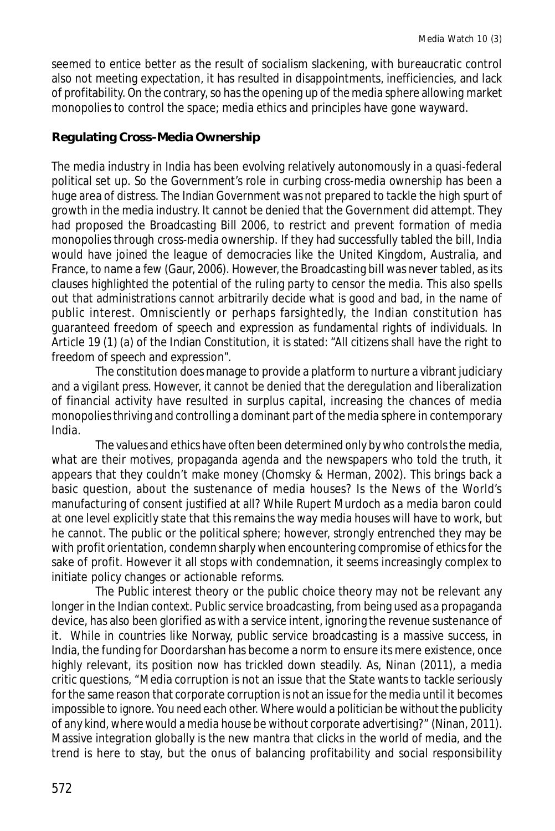seemed to entice better as the result of socialism slackening, with bureaucratic control also not meeting expectation, it has resulted in disappointments, inefficiencies, and lack of profitability. On the contrary, so has the opening up of the media sphere allowing market monopolies to control the space; media ethics and principles have gone wayward.

### **Regulating Cross-Media Ownership**

The media industry in India has been evolving relatively autonomously in a quasi-federal political set up. So the Government's role in curbing cross-media ownership has been a huge area of distress. The Indian Government was not prepared to tackle the high spurt of growth in the media industry. It cannot be denied that the Government did attempt. They had proposed the Broadcasting Bill 2006, to restrict and prevent formation of media monopolies through cross-media ownership. If they had successfully tabled the bill, India would have joined the league of democracies like the United Kingdom, Australia, and France, to name a few (Gaur, 2006). However, the Broadcasting bill was never tabled, as its clauses highlighted the potential of the ruling party to censor the media. This also spells out that administrations cannot arbitrarily decide what is good and bad, in the name of public interest. Omnisciently or perhaps farsightedly, the Indian constitution has guaranteed freedom of speech and expression as fundamental rights of individuals. In Article 19 (1) (a) of the Indian Constitution, it is stated: "All citizens shall have the right to freedom of speech and expression".

The constitution does manage to provide a platform to nurture a vibrant judiciary and a vigilant press. However, it cannot be denied that the deregulation and liberalization of financial activity have resulted in surplus capital, increasing the chances of media monopolies thriving and controlling a dominant part of the media sphere in contemporary India.

The values and ethics have often been determined only by who controls the media, what are their motives, propaganda agenda and the newspapers who told the truth, it appears that they couldn't make money (Chomsky & Herman, 2002). This brings back a basic question, about the sustenance of media houses? Is the News of the World's manufacturing of consent justified at all? While Rupert Murdoch as a media baron could at one level explicitly state that this remains the way media houses will have to work, but he cannot. The public or the political sphere; however, strongly entrenched they may be with profit orientation, condemn sharply when encountering compromise of ethics for the sake of profit. However it all stops with condemnation, it seems increasingly complex to initiate policy changes or actionable reforms.

The Public interest theory or the public choice theory may not be relevant any longer in the Indian context. Public service broadcasting, from being used as a propaganda device, has also been glorified as with a service intent, ignoring the revenue sustenance of it. While in countries like Norway, public service broadcasting is a massive success, in India, the funding for Doordarshan has become a norm to ensure its mere existence, once highly relevant, its position now has trickled down steadily. As, Ninan (2011), a media critic questions, "Media corruption is not an issue that the State wants to tackle seriously for the same reason that corporate corruption is not an issue for the media until it becomes impossible to ignore. You need each other. Where would a politician be without the publicity of any kind, where would a media house be without corporate advertising?" (Ninan, 2011). Massive integration globally is the new mantra that clicks in the world of media, and the trend is here to stay, but the onus of balancing profitability and social responsibility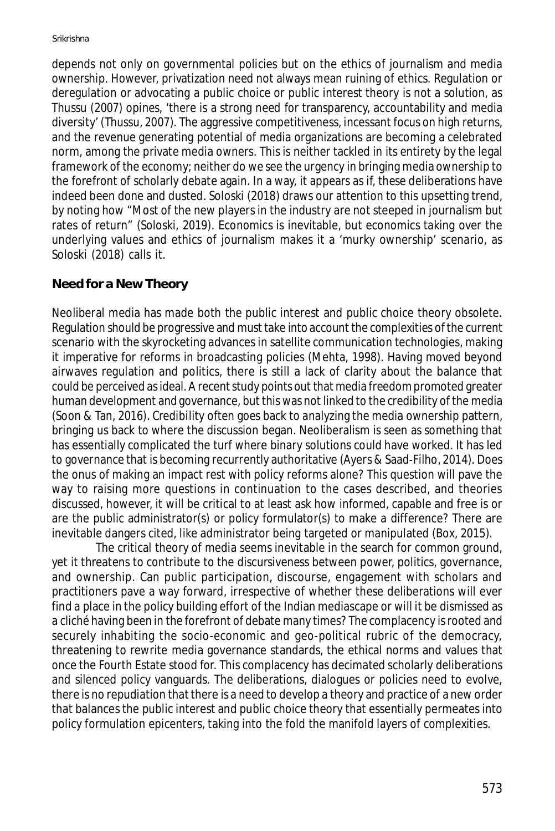depends not only on governmental policies but on the ethics of journalism and media ownership. However, privatization need not always mean ruining of ethics. Regulation or deregulation or advocating a public choice or public interest theory is not a solution, as Thussu (2007) opines, 'there is a strong need for transparency, accountability and media diversity' (Thussu, 2007). The aggressive competitiveness, incessant focus on high returns, and the revenue generating potential of media organizations are becoming a celebrated norm, among the private media owners. This is neither tackled in its entirety by the legal framework of the economy; neither do we see the urgency in bringing media ownership to the forefront of scholarly debate again. In a way, it appears as if, these deliberations have indeed been done and dusted. Soloski (2018) draws our attention to this upsetting trend, by noting how "Most of the new players in the industry are not steeped in journalism but rates of return" (Soloski, 2019). Economics is inevitable, but economics taking over the underlying values and ethics of journalism makes it a 'murky ownership' scenario, as Soloski (2018) calls it.

## **Need for a New Theory**

Neoliberal media has made both the public interest and public choice theory obsolete. Regulation should be progressive and must take into account the complexities of the current scenario with the skyrocketing advances in satellite communication technologies, making it imperative for reforms in broadcasting policies (Mehta, 1998). Having moved beyond airwaves regulation and politics, there is still a lack of clarity about the balance that could be perceived as ideal. A recent study points out that media freedom promoted greater human development and governance, but this was not linked to the credibility of the media (Soon & Tan, 2016). Credibility often goes back to analyzing the media ownership pattern, bringing us back to where the discussion began. Neoliberalism is seen as something that has essentially complicated the turf where binary solutions could have worked. It has led to governance that is becoming recurrently authoritative (Ayers & Saad-Filho, 2014). Does the onus of making an impact rest with policy reforms alone? This question will pave the way to raising more questions in continuation to the cases described, and theories discussed, however, it will be critical to at least ask how informed, capable and free is or are the public administrator(s) or policy formulator(s) to make a difference? There are inevitable dangers cited, like administrator being targeted or manipulated (Box, 2015).

The critical theory of media seems inevitable in the search for common ground, yet it threatens to contribute to the discursiveness between power, politics, governance, and ownership. Can public participation, discourse, engagement with scholars and practitioners pave a way forward, irrespective of whether these deliberations will ever find a place in the policy building effort of the Indian mediascape or will it be dismissed as a cliché having been in the forefront of debate many times? The complacency is rooted and securely inhabiting the socio-economic and geo-political rubric of the democracy, threatening to rewrite media governance standards, the ethical norms and values that once the Fourth Estate stood for. This complacency has decimated scholarly deliberations and silenced policy vanguards. The deliberations, dialogues or policies need to evolve, there is no repudiation that there is a need to develop a theory and practice of a new order that balances the public interest and public choice theory that essentially permeates into policy formulation epicenters, taking into the fold the manifold layers of complexities.